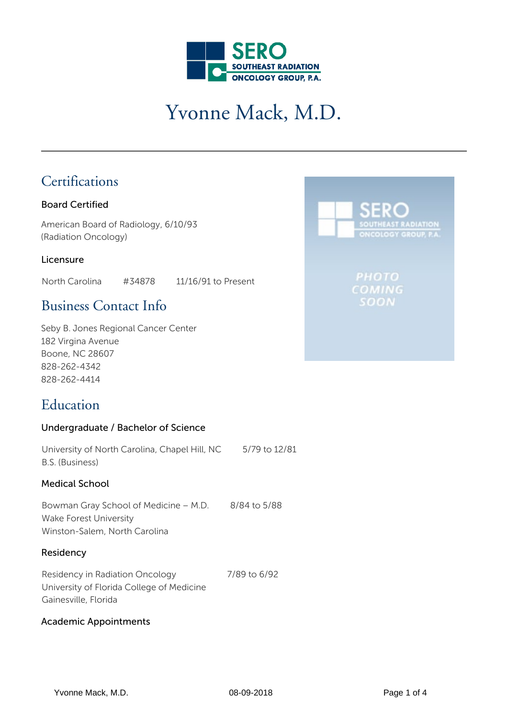

# Yvonne Mack, M.D.

## **Certifications**

### Board Certified

American Board of Radiology, 6/10/93 (Radiation Oncology)

### Licensure

North Carolina #34878 11/16/91 to Present

## Business Contact Info

Seby B. Jones Regional Cancer Center 182 Virgina Avenue Boone, NC 28607 828-262-4342 828-262-4414

## **Education**

### Undergraduate / Bachelor of Science

| University of North Carolina, Chapel Hill, NC | 5/79 to 12/81 |
|-----------------------------------------------|---------------|
| B.S. (Business)                               |               |

### Medical School

Bowman Gray School of Medicine – M.D. 8/84 to 5/88 Wake Forest University Winston-Salem, North Carolina

### Residency

Residency in Radiation Oncology University of Florida College of Medicine Gainesville, Florida 7/89 to 6/92

#### Academic Appointments

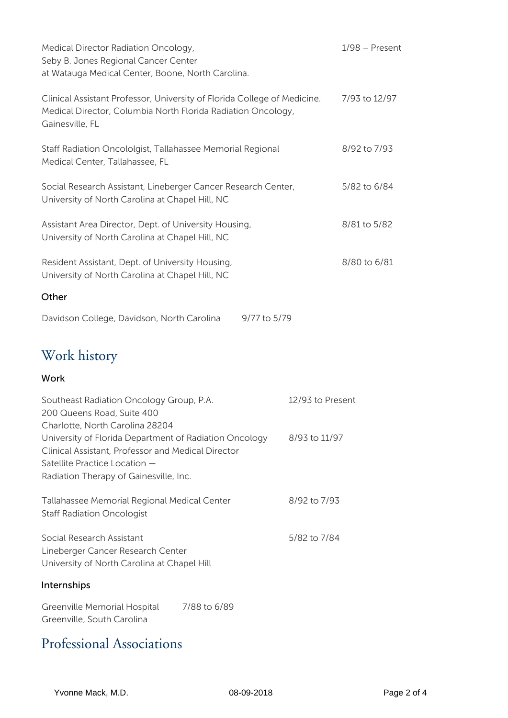| Medical Director Radiation Oncology,<br>Seby B. Jones Regional Cancer Center<br>at Watauga Medical Center, Boone, North Carolina.                                                       |                  | $1/98$ – Present |
|-----------------------------------------------------------------------------------------------------------------------------------------------------------------------------------------|------------------|------------------|
| Clinical Assistant Professor, University of Florida College of Medicine.<br>Medical Director, Columbia North Florida Radiation Oncology,<br>Gainesville, FL                             |                  | 7/93 to 12/97    |
| Staff Radiation Oncololgist, Tallahassee Memorial Regional<br>Medical Center, Tallahassee, FL                                                                                           |                  | 8/92 to 7/93     |
| Social Research Assistant, Lineberger Cancer Research Center,<br>University of North Carolina at Chapel Hill, NC                                                                        |                  | 5/82 to 6/84     |
| Assistant Area Director, Dept. of University Housing,<br>University of North Carolina at Chapel Hill, NC                                                                                |                  | 8/81 to 5/82     |
| Resident Assistant, Dept. of University Housing,<br>University of North Carolina at Chapel Hill, NC                                                                                     |                  | 8/80 to 6/81     |
| Other                                                                                                                                                                                   |                  |                  |
| Davidson College, Davidson, North Carolina<br>9/77 to 5/79                                                                                                                              |                  |                  |
| Work history                                                                                                                                                                            |                  |                  |
| Work                                                                                                                                                                                    |                  |                  |
| Southeast Radiation Oncology Group, P.A.<br>200 Queens Road, Suite 400<br>Charlotte, North Carolina 28204                                                                               | 12/93 to Present |                  |
| University of Florida Department of Radiation Oncology<br>Clinical Assistant, Professor and Medical Director<br>Satellite Practice Location -<br>Radiation Therapy of Gainesville, Inc. | 8/93 to 11/97    |                  |
| Tallahassee Memorial Regional Medical Center<br><b>Staff Radiation Oncologist</b>                                                                                                       | 8/92 to 7/93     |                  |
| Social Research Assistant<br>Lineberger Cancer Research Center<br>University of North Carolina at Chapel Hill                                                                           | 5/82 to 7/84     |                  |
| Internships                                                                                                                                                                             |                  |                  |
| 7/88 to 6/89<br>Greenville Memorial Hospital<br>Greenville, South Carolina                                                                                                              |                  |                  |

## Professional Associations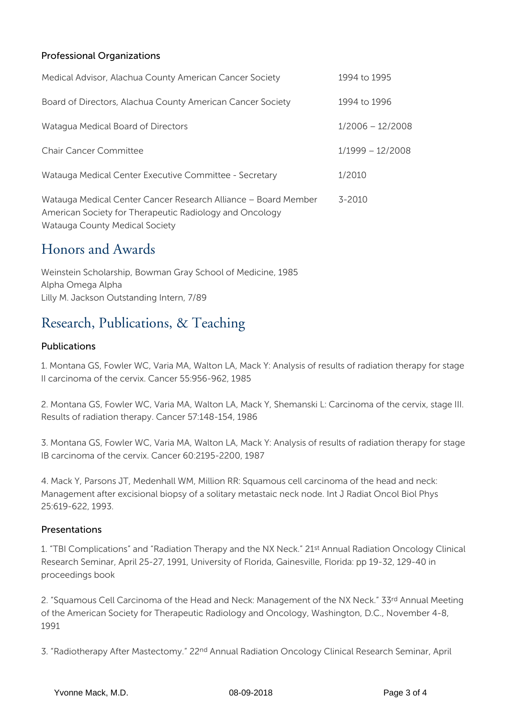### Professional Organizations

| Medical Advisor, Alachua County American Cancer Society                                                                                                     | 1994 to 1995       |
|-------------------------------------------------------------------------------------------------------------------------------------------------------------|--------------------|
| Board of Directors, Alachua County American Cancer Society                                                                                                  | 1994 to 1996       |
| Watagua Medical Board of Directors                                                                                                                          | $1/2006 - 12/2008$ |
| <b>Chair Cancer Committee</b>                                                                                                                               | $1/1999 - 12/2008$ |
| Watauga Medical Center Executive Committee - Secretary                                                                                                      | 1/2010             |
| Watauga Medical Center Cancer Research Alliance – Board Member<br>American Society for Therapeutic Radiology and Oncology<br>Watauga County Medical Society | $3 - 2010$         |

## Honors and Awards

Weinstein Scholarship, Bowman Gray School of Medicine, 1985 Alpha Omega Alpha Lilly M. Jackson Outstanding Intern, 7/89

## Research, Publications, & Teaching

### Publications

1. Montana GS, Fowler WC, Varia MA, Walton LA, Mack Y: Analysis of results of radiation therapy for stage II carcinoma of the cervix. Cancer 55:956-962, 1985

2. Montana GS, Fowler WC, Varia MA, Walton LA, Mack Y, Shemanski L: Carcinoma of the cervix, stage III. Results of radiation therapy. Cancer 57:148-154, 1986

3. Montana GS, Fowler WC, Varia MA, Walton LA, Mack Y: Analysis of results of radiation therapy for stage IB carcinoma of the cervix. Cancer 60:2195-2200, 1987

4. Mack Y, Parsons JT, Medenhall WM, Million RR: Squamous cell carcinoma of the head and neck: Management after excisional biopsy of a solitary metastaic neck node. Int J Radiat Oncol Biol Phys 25:619-622, 1993.

### Presentations

1. "TBI Complications" and "Radiation Therapy and the NX Neck." 21st Annual Radiation Oncology Clinical Research Seminar, April 25-27, 1991, University of Florida, Gainesville, Florida: pp 19-32, 129-40 in proceedings book

2. "Squamous Cell Carcinoma of the Head and Neck: Management of the NX Neck." 33rd Annual Meeting of the American Society for Therapeutic Radiology and Oncology, Washington, D.C., November 4-8, 1991

3. "Radiotherapy After Mastectomy." 22nd Annual Radiation Oncology Clinical Research Seminar, April